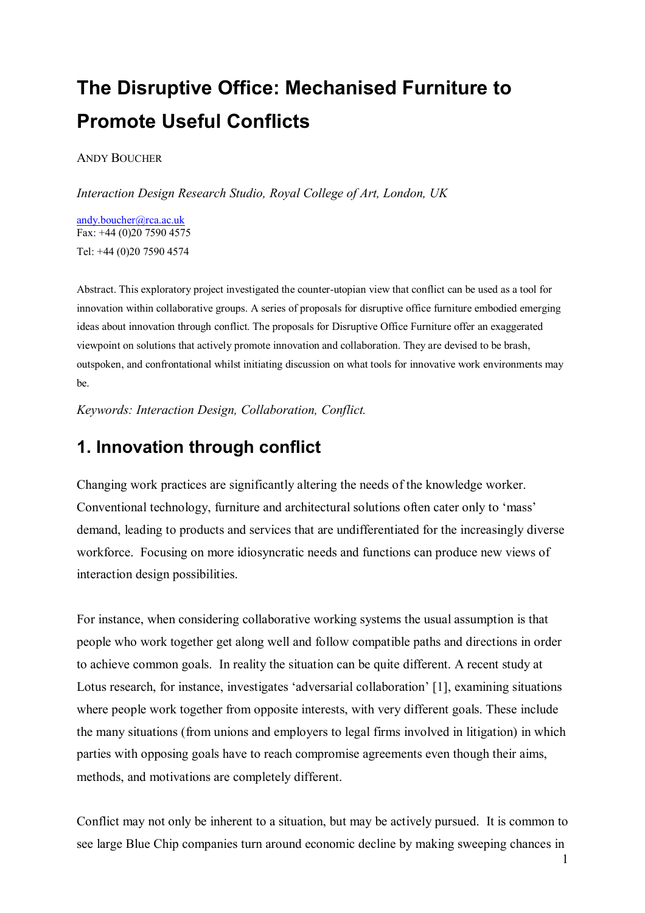# **The Disruptive Office: Mechanised Furniture to Promote Useful Conflicts**

ANDY BOUCHER

*Interaction Design Research Studio, Royal College of Art, London, UK* 

andy.boucher@rca.ac.uk Fax: +44 (0)20 7590 4575 Tel: +44 (0)20 7590 4574

Abstract. This exploratory project investigated the counter-utopian view that conflict can be used as a tool for innovation within collaborative groups. A series of proposals for disruptive office furniture embodied emerging ideas about innovation through conflict. The proposals for Disruptive Office Furniture offer an exaggerated viewpoint on solutions that actively promote innovation and collaboration. They are devised to be brash, outspoken, and confrontational whilst initiating discussion on what tools for innovative work environments may be.

*Keywords: Interaction Design, Collaboration, Conflict.* 

## **1. Innovation through conflict**

Changing work practices are significantly altering the needs of the knowledge worker. Conventional technology, furniture and architectural solutions often cater only to 'mass' demand, leading to products and services that are undifferentiated for the increasingly diverse workforce. Focusing on more idiosyncratic needs and functions can produce new views of interaction design possibilities.

For instance, when considering collaborative working systems the usual assumption is that people who work together get along well and follow compatible paths and directions in order to achieve common goals. In reality the situation can be quite different. A recent study at Lotus research, for instance, investigates 'adversarial collaboration' [1], examining situations where people work together from opposite interests, with very different goals. These include the many situations (from unions and employers to legal firms involved in litigation) in which parties with opposing goals have to reach compromise agreements even though their aims, methods, and motivations are completely different.

Conflict may not only be inherent to a situation, but may be actively pursued. It is common to see large Blue Chip companies turn around economic decline by making sweeping chances in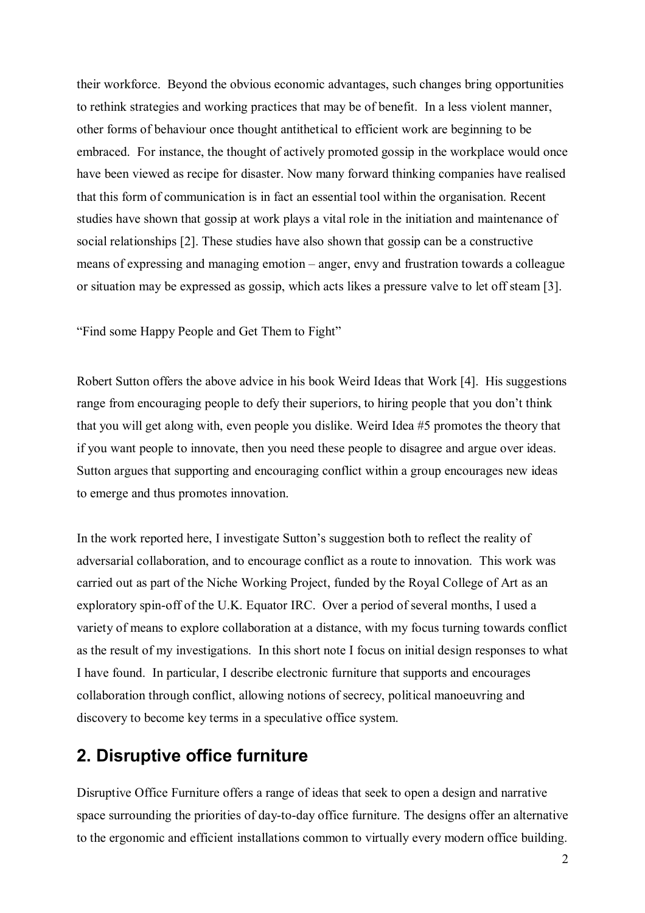their workforce. Beyond the obvious economic advantages, such changes bring opportunities to rethink strategies and working practices that may be of benefit. In a less violent manner, other forms of behaviour once thought antithetical to efficient work are beginning to be embraced. For instance, the thought of actively promoted gossip in the workplace would once have been viewed as recipe for disaster. Now many forward thinking companies have realised that this form of communication is in fact an essential tool within the organisation. Recent studies have shown that gossip at work plays a vital role in the initiation and maintenance of social relationships [2]. These studies have also shown that gossip can be a constructive means of expressing and managing emotion – anger, envy and frustration towards a colleague or situation may be expressed as gossip, which acts likes a pressure valve to let off steam [3].

"Find some Happy People and Get Them to Fight"

Robert Sutton offers the above advice in his book Weird Ideas that Work [4]. His suggestions range from encouraging people to defy their superiors, to hiring people that you don't think that you will get along with, even people you dislike. Weird Idea #5 promotes the theory that if you want people to innovate, then you need these people to disagree and argue over ideas. Sutton argues that supporting and encouraging conflict within a group encourages new ideas to emerge and thus promotes innovation.

In the work reported here, I investigate Sutton's suggestion both to reflect the reality of adversarial collaboration, and to encourage conflict as a route to innovation. This work was carried out as part of the Niche Working Project, funded by the Royal College of Art as an exploratory spin-off of the U.K. Equator IRC. Over a period of several months, I used a variety of means to explore collaboration at a distance, with my focus turning towards conflict as the result of my investigations. In this short note I focus on initial design responses to what I have found. In particular, I describe electronic furniture that supports and encourages collaboration through conflict, allowing notions of secrecy, political manoeuvring and discovery to become key terms in a speculative office system.

### **2. Disruptive office furniture**

Disruptive Office Furniture offers a range of ideas that seek to open a design and narrative space surrounding the priorities of day-to-day office furniture. The designs offer an alternative to the ergonomic and efficient installations common to virtually every modern office building.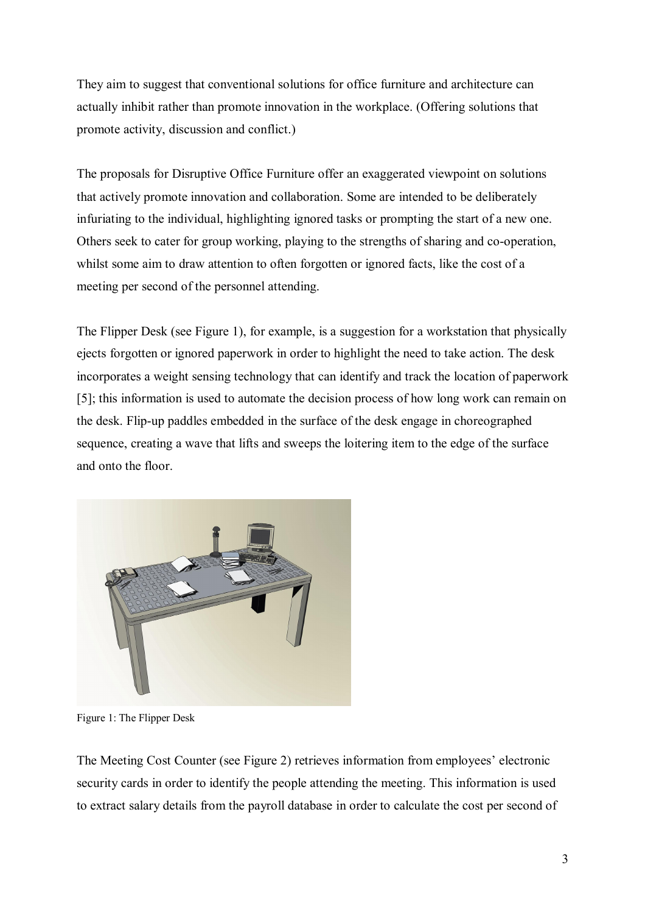They aim to suggest that conventional solutions for office furniture and architecture can actually inhibit rather than promote innovation in the workplace. (Offering solutions that promote activity, discussion and conflict.)

The proposals for Disruptive Office Furniture offer an exaggerated viewpoint on solutions that actively promote innovation and collaboration. Some are intended to be deliberately infuriating to the individual, highlighting ignored tasks or prompting the start of a new one. Others seek to cater for group working, playing to the strengths of sharing and co-operation, whilst some aim to draw attention to often forgotten or ignored facts, like the cost of a meeting per second of the personnel attending.

The Flipper Desk (see Figure 1), for example, is a suggestion for a workstation that physically ejects forgotten or ignored paperwork in order to highlight the need to take action. The desk incorporates a weight sensing technology that can identify and track the location of paperwork [5]; this information is used to automate the decision process of how long work can remain on the desk. Flip-up paddles embedded in the surface of the desk engage in choreographed sequence, creating a wave that lifts and sweeps the loitering item to the edge of the surface and onto the floor.



Figure 1: The Flipper Desk

The Meeting Cost Counter (see Figure 2) retrieves information from employees' electronic security cards in order to identify the people attending the meeting. This information is used to extract salary details from the payroll database in order to calculate the cost per second of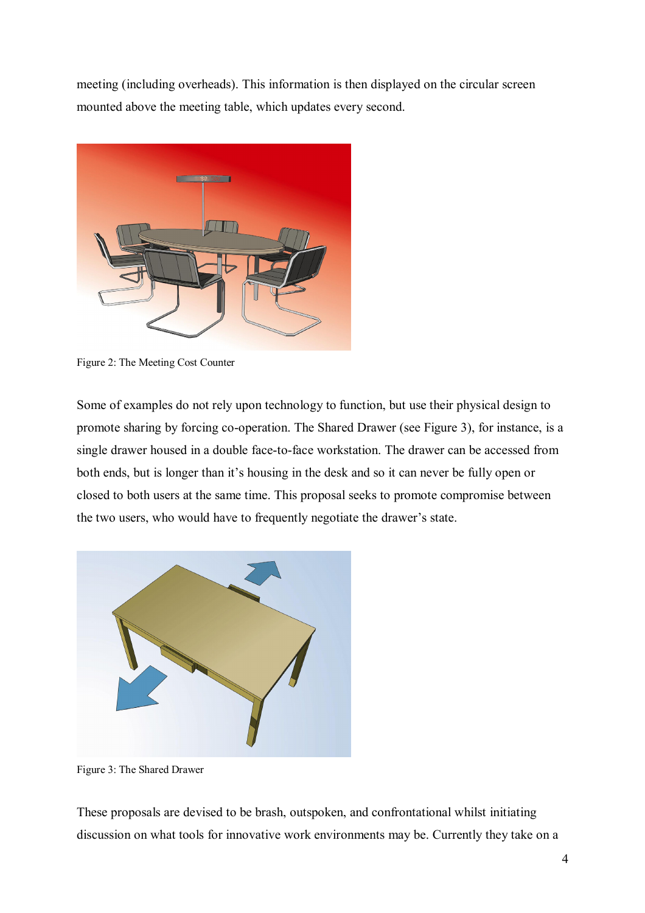meeting (including overheads). This information is then displayed on the circular screen mounted above the meeting table, which updates every second.



Figure 2: The Meeting Cost Counter

Some of examples do not rely upon technology to function, but use their physical design to promote sharing by forcing co-operation. The Shared Drawer (see Figure 3), for instance, is a single drawer housed in a double face-to-face workstation. The drawer can be accessed from both ends, but is longer than it's housing in the desk and so it can never be fully open or closed to both users at the same time. This proposal seeks to promote compromise between the two users, who would have to frequently negotiate the drawer's state.



Figure 3: The Shared Drawer

These proposals are devised to be brash, outspoken, and confrontational whilst initiating discussion on what tools for innovative work environments may be. Currently they take on a